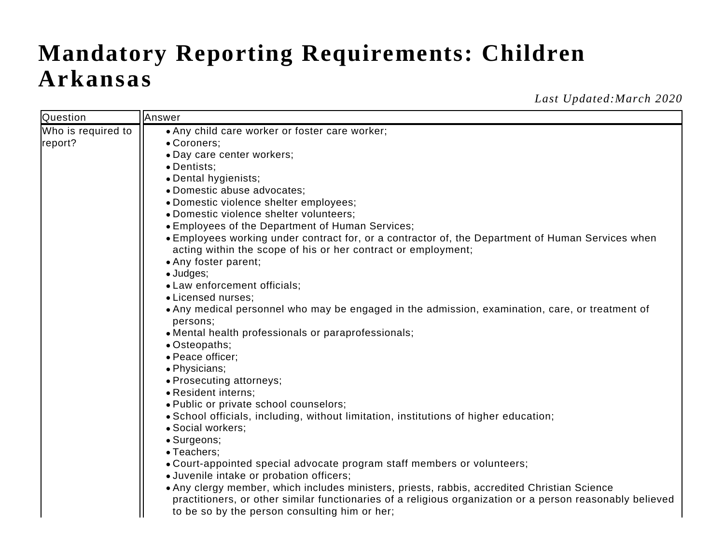## **Mandatory Reporting Requirements: Children Arkansas**

*Last Updated:March 2020*

| Question           | Answer                                                                                                    |
|--------------------|-----------------------------------------------------------------------------------------------------------|
| Who is required to | • Any child care worker or foster care worker;                                                            |
| report?            | • Coroners;                                                                                               |
|                    | • Day care center workers;                                                                                |
|                    | • Dentists;                                                                                               |
|                    | • Dental hygienists;                                                                                      |
|                    | • Domestic abuse advocates;                                                                               |
|                    | · Domestic violence shelter employees;                                                                    |
|                    | · Domestic violence shelter volunteers;                                                                   |
|                    | • Employees of the Department of Human Services;                                                          |
|                    | • Employees working under contract for, or a contractor of, the Department of Human Services when         |
|                    | acting within the scope of his or her contract or employment;                                             |
|                    | • Any foster parent;                                                                                      |
|                    | $\bullet$ Judges;<br>• Law enforcement officials;                                                         |
|                    | • Licensed nurses;                                                                                        |
|                    | • Any medical personnel who may be engaged in the admission, examination, care, or treatment of           |
|                    | persons;                                                                                                  |
|                    | • Mental health professionals or paraprofessionals;                                                       |
|                    | • Osteopaths;                                                                                             |
|                    | • Peace officer;                                                                                          |
|                    | · Physicians;                                                                                             |
|                    | • Prosecuting attorneys;                                                                                  |
|                    | • Resident interns;                                                                                       |
|                    | . Public or private school counselors;                                                                    |
|                    | • School officials, including, without limitation, institutions of higher education;                      |
|                    | • Social workers;                                                                                         |
|                    | • Surgeons;                                                                                               |
|                    | • Teachers;                                                                                               |
|                    | • Court-appointed special advocate program staff members or volunteers;                                   |
|                    | · Juvenile intake or probation officers;                                                                  |
|                    | • Any clergy member, which includes ministers, priests, rabbis, accredited Christian Science              |
|                    | practitioners, or other similar functionaries of a religious organization or a person reasonably believed |
|                    | to be so by the person consulting him or her;                                                             |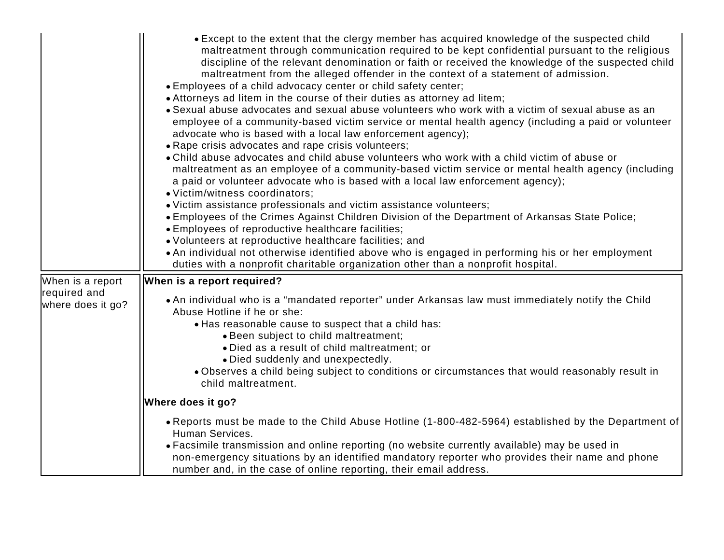|                                                       | • Except to the extent that the clergy member has acquired knowledge of the suspected child<br>maltreatment through communication required to be kept confidential pursuant to the religious<br>discipline of the relevant denomination or faith or received the knowledge of the suspected child<br>maltreatment from the alleged offender in the context of a statement of admission.<br>• Employees of a child advocacy center or child safety center;<br>• Attorneys ad litem in the course of their duties as attorney ad litem;<br>• Sexual abuse advocates and sexual abuse volunteers who work with a victim of sexual abuse as an<br>employee of a community-based victim service or mental health agency (including a paid or volunteer<br>advocate who is based with a local law enforcement agency);<br>• Rape crisis advocates and rape crisis volunteers;<br>• Child abuse advocates and child abuse volunteers who work with a child victim of abuse or<br>maltreatment as an employee of a community-based victim service or mental health agency (including<br>a paid or volunteer advocate who is based with a local law enforcement agency);<br>· Victim/witness coordinators;<br>• Victim assistance professionals and victim assistance volunteers;<br>. Employees of the Crimes Against Children Division of the Department of Arkansas State Police;<br>• Employees of reproductive healthcare facilities;<br>• Volunteers at reproductive healthcare facilities; and<br>• An individual not otherwise identified above who is engaged in performing his or her employment |
|-------------------------------------------------------|---------------------------------------------------------------------------------------------------------------------------------------------------------------------------------------------------------------------------------------------------------------------------------------------------------------------------------------------------------------------------------------------------------------------------------------------------------------------------------------------------------------------------------------------------------------------------------------------------------------------------------------------------------------------------------------------------------------------------------------------------------------------------------------------------------------------------------------------------------------------------------------------------------------------------------------------------------------------------------------------------------------------------------------------------------------------------------------------------------------------------------------------------------------------------------------------------------------------------------------------------------------------------------------------------------------------------------------------------------------------------------------------------------------------------------------------------------------------------------------------------------------------------------------------------------------------------------------------------|
| When is a report<br>required and<br>where does it go? | duties with a nonprofit charitable organization other than a nonprofit hospital.<br>When is a report required?<br>. An individual who is a "mandated reporter" under Arkansas law must immediately notify the Child<br>Abuse Hotline if he or she:<br>• Has reasonable cause to suspect that a child has:<br>• Been subject to child maltreatment;<br>• Died as a result of child maltreatment; or<br>· Died suddenly and unexpectedly.<br>. Observes a child being subject to conditions or circumstances that would reasonably result in<br>child maltreatment.                                                                                                                                                                                                                                                                                                                                                                                                                                                                                                                                                                                                                                                                                                                                                                                                                                                                                                                                                                                                                                 |
|                                                       | Where does it go?<br>• Reports must be made to the Child Abuse Hotline (1-800-482-5964) established by the Department of<br>Human Services.<br>• Facsimile transmission and online reporting (no website currently available) may be used in<br>non-emergency situations by an identified mandatory reporter who provides their name and phone<br>number and, in the case of online reporting, their email address.                                                                                                                                                                                                                                                                                                                                                                                                                                                                                                                                                                                                                                                                                                                                                                                                                                                                                                                                                                                                                                                                                                                                                                               |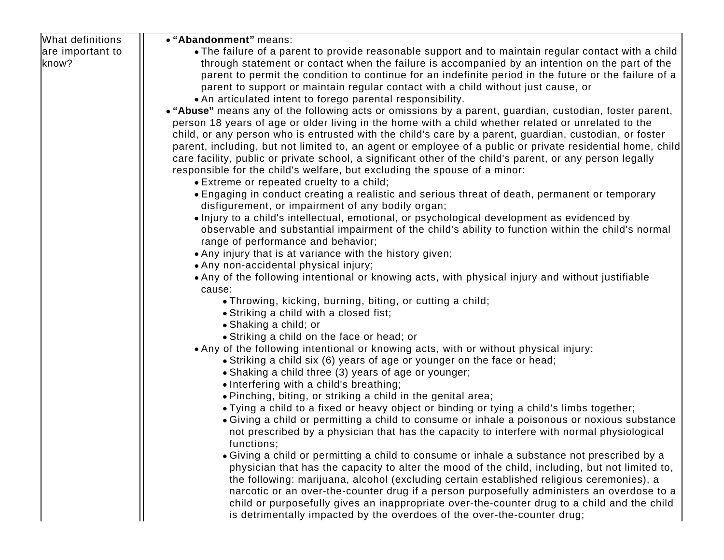| What definitions          | • "Abandonment" means:                                                                                                                                                                                                                                                                                                                                                                                                                                                                                                                                                         |
|---------------------------|--------------------------------------------------------------------------------------------------------------------------------------------------------------------------------------------------------------------------------------------------------------------------------------------------------------------------------------------------------------------------------------------------------------------------------------------------------------------------------------------------------------------------------------------------------------------------------|
| are important to<br>know? | • The failure of a parent to provide reasonable support and to maintain regular contact with a child<br>through statement or contact when the failure is accompanied by an intention on the part of the<br>parent to permit the condition to continue for an indefinite period in the future or the failure of a<br>parent to support or maintain regular contact with a child without just cause, or<br>• An articulated intent to forego parental responsibility.<br>• "Abuse" means any of the following acts or omissions by a parent, guardian, custodian, foster parent, |
|                           | person 18 years of age or older living in the home with a child whether related or unrelated to the<br>child, or any person who is entrusted with the child's care by a parent, guardian, custodian, or foster<br>parent, including, but not limited to, an agent or employee of a public or private residential home, child<br>care facility, public or private school, a significant other of the child's parent, or any person legally<br>responsible for the child's welfare, but excluding the spouse of a minor:<br>• Extreme or repeated cruelty to a child;            |
|                           | • Engaging in conduct creating a realistic and serious threat of death, permanent or temporary<br>disfigurement, or impairment of any bodily organ;                                                                                                                                                                                                                                                                                                                                                                                                                            |
|                           | · Injury to a child's intellectual, emotional, or psychological development as evidenced by<br>observable and substantial impairment of the child's ability to function within the child's normal<br>range of performance and behavior;                                                                                                                                                                                                                                                                                                                                        |
|                           | • Any injury that is at variance with the history given;                                                                                                                                                                                                                                                                                                                                                                                                                                                                                                                       |
|                           | • Any non-accidental physical injury;                                                                                                                                                                                                                                                                                                                                                                                                                                                                                                                                          |
|                           | • Any of the following intentional or knowing acts, with physical injury and without justifiable<br>cause:                                                                                                                                                                                                                                                                                                                                                                                                                                                                     |
|                           | • Throwing, kicking, burning, biting, or cutting a child;                                                                                                                                                                                                                                                                                                                                                                                                                                                                                                                      |
|                           | • Striking a child with a closed fist;                                                                                                                                                                                                                                                                                                                                                                                                                                                                                                                                         |
|                           | • Shaking a child; or                                                                                                                                                                                                                                                                                                                                                                                                                                                                                                                                                          |
|                           | • Striking a child on the face or head; or                                                                                                                                                                                                                                                                                                                                                                                                                                                                                                                                     |
|                           | • Any of the following intentional or knowing acts, with or without physical injury:                                                                                                                                                                                                                                                                                                                                                                                                                                                                                           |
|                           | • Striking a child six (6) years of age or younger on the face or head;                                                                                                                                                                                                                                                                                                                                                                                                                                                                                                        |
|                           | • Shaking a child three (3) years of age or younger;                                                                                                                                                                                                                                                                                                                                                                                                                                                                                                                           |
|                           | • Interfering with a child's breathing;<br>. Pinching, biting, or striking a child in the genital area;                                                                                                                                                                                                                                                                                                                                                                                                                                                                        |
|                           | • Tying a child to a fixed or heavy object or binding or tying a child's limbs together;                                                                                                                                                                                                                                                                                                                                                                                                                                                                                       |
|                           | • Giving a child or permitting a child to consume or inhale a poisonous or noxious substance<br>not prescribed by a physician that has the capacity to interfere with normal physiological<br>functions;                                                                                                                                                                                                                                                                                                                                                                       |
|                           | • Giving a child or permitting a child to consume or inhale a substance not prescribed by a<br>physician that has the capacity to alter the mood of the child, including, but not limited to,<br>the following: marijuana, alcohol (excluding certain established religious ceremonies), a<br>narcotic or an over-the-counter drug if a person purposefully administers an overdose to a<br>child or purposefully gives an inappropriate over-the-counter drug to a child and the child<br>is detrimentally impacted by the overdoes of the over-the-counter drug;             |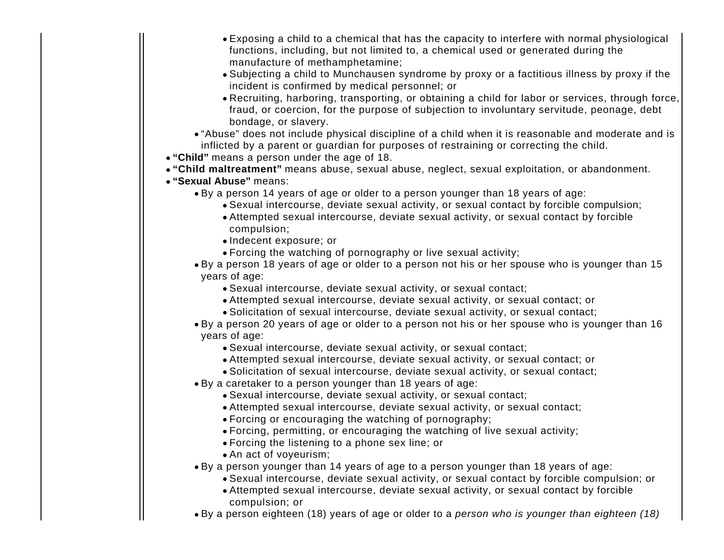- Exposing a child to a chemical that has the capacity to interfere with normal physiological functions, including, but not limited to, a chemical used or generated during the manufacture of methamphetamine;
- Subjecting a child to Munchausen syndrome by proxy or a factitious illness by proxy if the incident is confirmed by medical personnel; or
- Recruiting, harboring, transporting, or obtaining a child for labor or services, through force, fraud, or coercion, for the purpose of subjection to involuntary servitude, peonage, debt bondage, or slavery.

"Abuse" does not include physical discipline of a child when it is reasonable and moderate and is inflicted by a parent or guardian for purposes of restraining or correcting the child.

- **"Child"** means a person under the age of 18.
- **"Child maltreatment"** means abuse, sexual abuse, neglect, sexual exploitation, or abandonment.
- **"Sexual Abuse"** means:
	- By a person 14 years of age or older to a person younger than 18 years of age:
		- Sexual intercourse, deviate sexual activity, or sexual contact by forcible compulsion;
			- Attempted sexual intercourse, deviate sexual activity, or sexual contact by forcible compulsion;
			- Indecent exposure; or
			- Forcing the watching of pornography or live sexual activity;
	- By a person 18 years of age or older to a person not his or her spouse who is younger than 15 years of age:
		- Sexual intercourse, deviate sexual activity, or sexual contact;
		- Attempted sexual intercourse, deviate sexual activity, or sexual contact; or
		- Solicitation of sexual intercourse, deviate sexual activity, or sexual contact;

By a person 20 years of age or older to a person not his or her spouse who is younger than 16 years of age:

- Sexual intercourse, deviate sexual activity, or sexual contact;
- Attempted sexual intercourse, deviate sexual activity, or sexual contact; or
- Solicitation of sexual intercourse, deviate sexual activity, or sexual contact;
- By a caretaker to a person younger than 18 years of age:
	- Sexual intercourse, deviate sexual activity, or sexual contact;
	- Attempted sexual intercourse, deviate sexual activity, or sexual contact;
	- Forcing or encouraging the watching of pornography;
	- Forcing, permitting, or encouraging the watching of live sexual activity;
	- Forcing the listening to a phone sex line; or
	- An act of voyeurism;
- By a person younger than 14 years of age to a person younger than 18 years of age:
	- Sexual intercourse, deviate sexual activity, or sexual contact by forcible compulsion; or
	- Attempted sexual intercourse, deviate sexual activity, or sexual contact by forcible compulsion; or
- By a person eighteen (18) years of age or older to a person who is younger than eighteen (18)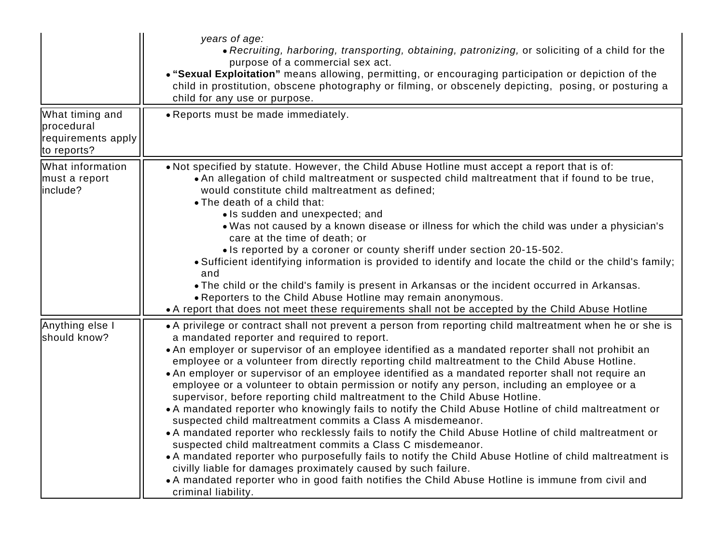| What timing and                                 | years of age:<br>• Recruiting, harboring, transporting, obtaining, patronizing, or soliciting of a child for the<br>purpose of a commercial sex act.<br>. "Sexual Exploitation" means allowing, permitting, or encouraging participation or depiction of the<br>child in prostitution, obscene photography or filming, or obscenely depicting, posing, or posturing a<br>child for any use or purpose.<br>• Reports must be made immediately.                                                                                                                                                                                                                                                                                                                                                                                                                                                                                                                                                                                                                                                                                                                                                                                                                                                                |
|-------------------------------------------------|--------------------------------------------------------------------------------------------------------------------------------------------------------------------------------------------------------------------------------------------------------------------------------------------------------------------------------------------------------------------------------------------------------------------------------------------------------------------------------------------------------------------------------------------------------------------------------------------------------------------------------------------------------------------------------------------------------------------------------------------------------------------------------------------------------------------------------------------------------------------------------------------------------------------------------------------------------------------------------------------------------------------------------------------------------------------------------------------------------------------------------------------------------------------------------------------------------------------------------------------------------------------------------------------------------------|
| procedural<br>requirements apply<br>to reports? |                                                                                                                                                                                                                                                                                                                                                                                                                                                                                                                                                                                                                                                                                                                                                                                                                                                                                                                                                                                                                                                                                                                                                                                                                                                                                                              |
| What information<br>must a report<br>include?   | . Not specified by statute. However, the Child Abuse Hotline must accept a report that is of:<br>• An allegation of child maltreatment or suspected child maltreatment that if found to be true,<br>would constitute child maltreatment as defined;<br>• The death of a child that:<br>• Is sudden and unexpected; and<br>. Was not caused by a known disease or illness for which the child was under a physician's<br>care at the time of death; or<br>• Is reported by a coroner or county sheriff under section 20-15-502.<br>• Sufficient identifying information is provided to identify and locate the child or the child's family;<br>and<br>. The child or the child's family is present in Arkansas or the incident occurred in Arkansas.<br>• Reporters to the Child Abuse Hotline may remain anonymous.<br>• A report that does not meet these requirements shall not be accepted by the Child Abuse Hotline                                                                                                                                                                                                                                                                                                                                                                                     |
| Anything else I<br>should know?                 | • A privilege or contract shall not prevent a person from reporting child maltreatment when he or she is<br>a mandated reporter and required to report.<br>• An employer or supervisor of an employee identified as a mandated reporter shall not prohibit an<br>employee or a volunteer from directly reporting child maltreatment to the Child Abuse Hotline.<br>• An employer or supervisor of an employee identified as a mandated reporter shall not require an<br>employee or a volunteer to obtain permission or notify any person, including an employee or a<br>supervisor, before reporting child maltreatment to the Child Abuse Hotline.<br>• A mandated reporter who knowingly fails to notify the Child Abuse Hotline of child maltreatment or<br>suspected child maltreatment commits a Class A misdemeanor.<br>• A mandated reporter who recklessly fails to notify the Child Abuse Hotline of child maltreatment or<br>suspected child maltreatment commits a Class C misdemeanor.<br>• A mandated reporter who purposefully fails to notify the Child Abuse Hotline of child maltreatment is<br>civilly liable for damages proximately caused by such failure.<br>• A mandated reporter who in good faith notifies the Child Abuse Hotline is immune from civil and<br>criminal liability. |